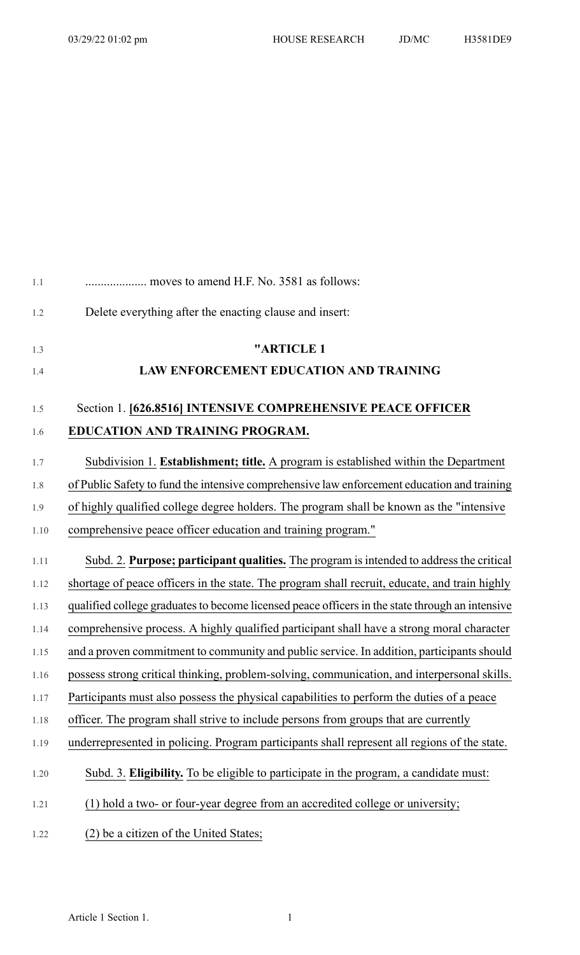| 1.1  | moves to amend H.F. No. 3581 as follows:                                                        |
|------|-------------------------------------------------------------------------------------------------|
| 1.2  | Delete everything after the enacting clause and insert:                                         |
| 1.3  | "ARTICLE 1                                                                                      |
| 1.4  | <b>LAW ENFORCEMENT EDUCATION AND TRAINING</b>                                                   |
| 1.5  | Section 1. [626.8516] INTENSIVE COMPREHENSIVE PEACE OFFICER                                     |
| 1.6  | EDUCATION AND TRAINING PROGRAM.                                                                 |
| 1.7  | Subdivision 1. Establishment; title. A program is established within the Department             |
| 1.8  | of Public Safety to fund the intensive comprehensive law enforcement education and training     |
| 1.9  | of highly qualified college degree holders. The program shall be known as the "intensive        |
| 1.10 | comprehensive peace officer education and training program."                                    |
| 1.11 | Subd. 2. Purpose; participant qualities. The program is intended to address the critical        |
| 1.12 | shortage of peace officers in the state. The program shall recruit, educate, and train highly   |
| 1.13 | qualified college graduates to become licensed peace officers in the state through an intensive |
| 1.14 | comprehensive process. A highly qualified participant shall have a strong moral character       |
| 1.15 | and a proven commitment to community and public service. In addition, participants should       |
| 1.16 | possess strong critical thinking, problem-solving, communication, and interpersonal skills.     |
| 1.17 | Participants must also possess the physical capabilities to perform the duties of a peace       |
| 1.18 | officer. The program shall strive to include persons from groups that are currently             |
| 1.19 | underrepresented in policing. Program participants shall represent all regions of the state.    |
| 1.20 | Subd. 3. Eligibility. To be eligible to participate in the program, a candidate must:           |
| 1.21 | (1) hold a two- or four-year degree from an accredited college or university;                   |
| 1.22 | (2) be a citizen of the United States;                                                          |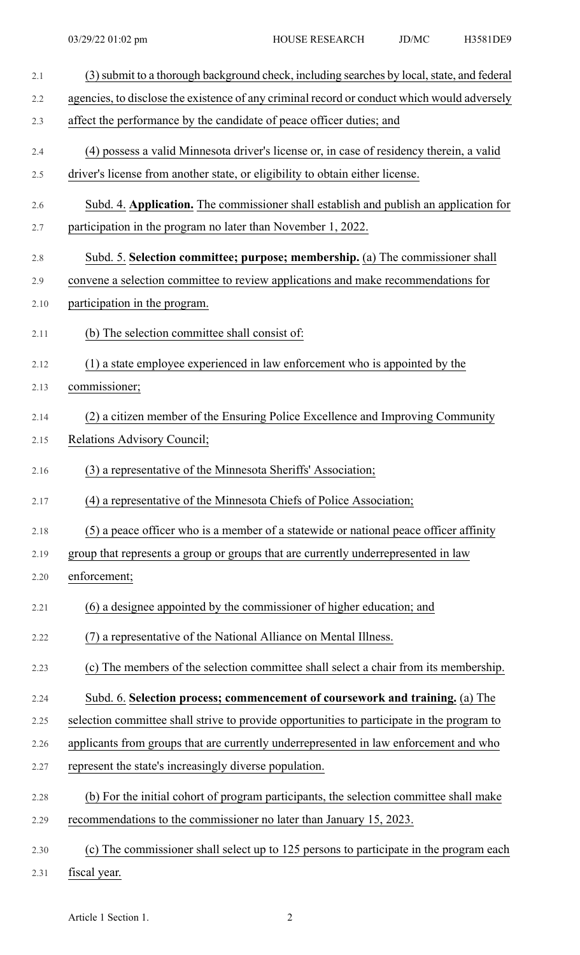| 2.1  | (3) submit to a thorough background check, including searches by local, state, and federal  |
|------|---------------------------------------------------------------------------------------------|
| 2.2  | agencies, to disclose the existence of any criminal record or conduct which would adversely |
| 2.3  | affect the performance by the candidate of peace officer duties; and                        |
| 2.4  | (4) possess a valid Minnesota driver's license or, in case of residency therein, a valid    |
| 2.5  | driver's license from another state, or eligibility to obtain either license.               |
| 2.6  | Subd. 4. Application. The commissioner shall establish and publish an application for       |
| 2.7  | participation in the program no later than November 1, 2022.                                |
| 2.8  | Subd. 5. Selection committee; purpose; membership. (a) The commissioner shall               |
| 2.9  | convene a selection committee to review applications and make recommendations for           |
| 2.10 | participation in the program.                                                               |
| 2.11 | (b) The selection committee shall consist of:                                               |
| 2.12 | (1) a state employee experienced in law enforcement who is appointed by the                 |
| 2.13 | commissioner;                                                                               |
| 2.14 | (2) a citizen member of the Ensuring Police Excellence and Improving Community              |
| 2.15 | Relations Advisory Council;                                                                 |
| 2.16 | (3) a representative of the Minnesota Sheriffs' Association;                                |
| 2.17 | (4) a representative of the Minnesota Chiefs of Police Association;                         |
| 2.18 | (5) a peace officer who is a member of a statewide or national peace officer affinity       |
| 2.19 | group that represents a group or groups that are currently underrepresented in law          |
| 2.20 | enforcement;                                                                                |
| 2.21 | (6) a designee appointed by the commissioner of higher education; and                       |
| 2.22 | (7) a representative of the National Alliance on Mental Illness.                            |
| 2.23 | (c) The members of the selection committee shall select a chair from its membership.        |
| 2.24 | Subd. 6. Selection process; commencement of coursework and training. (a) The                |
| 2.25 | selection committee shall strive to provide opportunities to participate in the program to  |
| 2.26 | applicants from groups that are currently underrepresented in law enforcement and who       |
| 2.27 | represent the state's increasingly diverse population.                                      |
| 2.28 | (b) For the initial cohort of program participants, the selection committee shall make      |
| 2.29 | recommendations to the commissioner no later than January 15, 2023.                         |
| 2.30 | (c) The commissioner shall select up to 125 persons to participate in the program each      |
| 2.31 | fiscal year.                                                                                |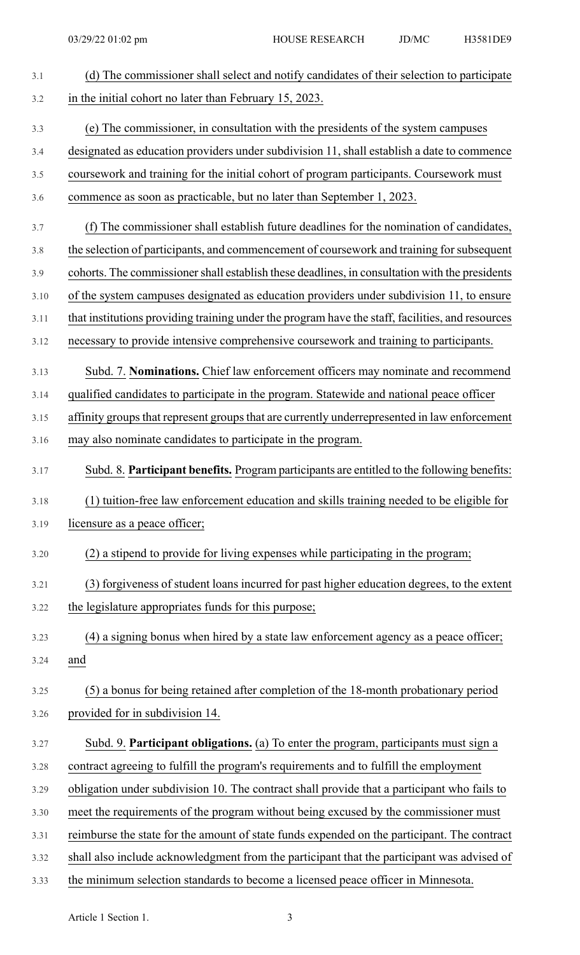| 3.1  | (d) The commissioner shall select and notify candidates of their selection to participate        |
|------|--------------------------------------------------------------------------------------------------|
| 3.2  | in the initial cohort no later than February 15, 2023.                                           |
| 3.3  | (e) The commissioner, in consultation with the presidents of the system campuses                 |
| 3.4  | designated as education providers under subdivision 11, shall establish a date to commence       |
| 3.5  | coursework and training for the initial cohort of program participants. Coursework must          |
| 3.6  | commence as soon as practicable, but no later than September 1, 2023.                            |
| 3.7  | (f) The commissioner shall establish future deadlines for the nomination of candidates,          |
| 3.8  | the selection of participants, and commencement of coursework and training for subsequent        |
| 3.9  | cohorts. The commissioner shall establish these deadlines, in consultation with the presidents   |
| 3.10 | of the system campuses designated as education providers under subdivision 11, to ensure         |
| 3.11 | that institutions providing training under the program have the staff, facilities, and resources |
| 3.12 | necessary to provide intensive comprehensive coursework and training to participants.            |
| 3.13 | Subd. 7. Nominations. Chief law enforcement officers may nominate and recommend                  |
| 3.14 | qualified candidates to participate in the program. Statewide and national peace officer         |
| 3.15 | affinity groups that represent groups that are currently underrepresented in law enforcement     |
| 3.16 | may also nominate candidates to participate in the program.                                      |
| 3.17 | Subd. 8. Participant benefits. Program participants are entitled to the following benefits:      |
|      |                                                                                                  |
| 3.18 | (1) tuition-free law enforcement education and skills training needed to be eligible for         |
| 3.19 | licensure as a peace officer;                                                                    |
| 3.20 | (2) a stipend to provide for living expenses while participating in the program;                 |
| 3.21 | (3) forgiveness of student loans incurred for past higher education degrees, to the extent       |
| 3.22 | the legislature appropriates funds for this purpose;                                             |
| 3.23 | (4) a signing bonus when hired by a state law enforcement agency as a peace officer;             |
| 3.24 | and                                                                                              |
| 3.25 | (5) a bonus for being retained after completion of the 18-month probationary period              |
| 3.26 | provided for in subdivision 14.                                                                  |
| 3.27 | Subd. 9. Participant obligations. (a) To enter the program, participants must sign a             |
| 3.28 | contract agreeing to fulfill the program's requirements and to fulfill the employment            |
| 3.29 | obligation under subdivision 10. The contract shall provide that a participant who fails to      |
| 3.30 | meet the requirements of the program without being excused by the commissioner must              |
| 3.31 | reimburse the state for the amount of state funds expended on the participant. The contract      |
| 3.32 | shall also include acknowledgment from the participant that the participant was advised of       |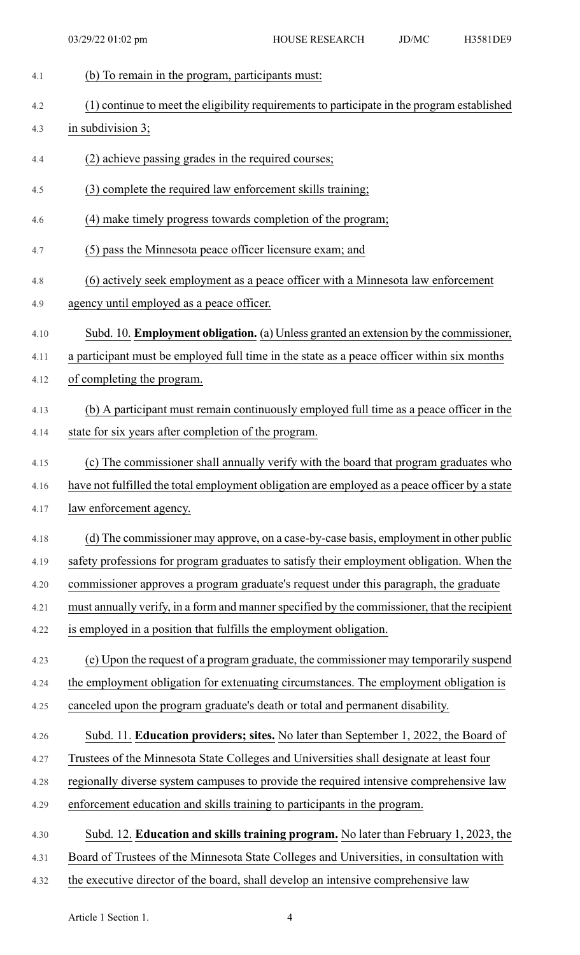| 4.1  | (b) To remain in the program, participants must:                                              |
|------|-----------------------------------------------------------------------------------------------|
| 4.2  | (1) continue to meet the eligibility requirements to participate in the program established   |
| 4.3  | in subdivision 3;                                                                             |
| 4.4  | (2) achieve passing grades in the required courses;                                           |
| 4.5  | (3) complete the required law enforcement skills training;                                    |
| 4.6  | (4) make timely progress towards completion of the program;                                   |
| 4.7  | (5) pass the Minnesota peace officer licensure exam; and                                      |
| 4.8  | (6) actively seek employment as a peace officer with a Minnesota law enforcement              |
| 4.9  | agency until employed as a peace officer.                                                     |
| 4.10 | Subd. 10. <b>Employment obligation.</b> (a) Unless granted an extension by the commissioner,  |
| 4.11 | a participant must be employed full time in the state as a peace officer within six months    |
| 4.12 | of completing the program.                                                                    |
| 4.13 | (b) A participant must remain continuously employed full time as a peace officer in the       |
| 4.14 | state for six years after completion of the program.                                          |
| 4.15 | (c) The commissioner shall annually verify with the board that program graduates who          |
| 4.16 | have not fulfilled the total employment obligation are employed as a peace officer by a state |
| 4.17 | law enforcement agency.                                                                       |
| 4.18 | (d) The commissioner may approve, on a case-by-case basis, employment in other public         |
| 4.19 | safety professions for program graduates to satisfy their employment obligation. When the     |
| 4.20 | commissioner approves a program graduate's request under this paragraph, the graduate         |
| 4.21 | must annually verify, in a form and manner specified by the commissioner, that the recipient  |
| 4.22 | is employed in a position that fulfills the employment obligation.                            |
| 4.23 | (e) Upon the request of a program graduate, the commissioner may temporarily suspend          |
| 4.24 | the employment obligation for extenuating circumstances. The employment obligation is         |
| 4.25 | canceled upon the program graduate's death or total and permanent disability.                 |
| 4.26 | Subd. 11. Education providers; sites. No later than September 1, 2022, the Board of           |
| 4.27 | Trustees of the Minnesota State Colleges and Universities shall designate at least four       |
| 4.28 | regionally diverse system campuses to provide the required intensive comprehensive law        |
| 4.29 | enforcement education and skills training to participants in the program.                     |
| 4.30 | Subd. 12. Education and skills training program. No later than February 1, 2023, the          |
| 4.31 | Board of Trustees of the Minnesota State Colleges and Universities, in consultation with      |
| 4.32 | the executive director of the board, shall develop an intensive comprehensive law             |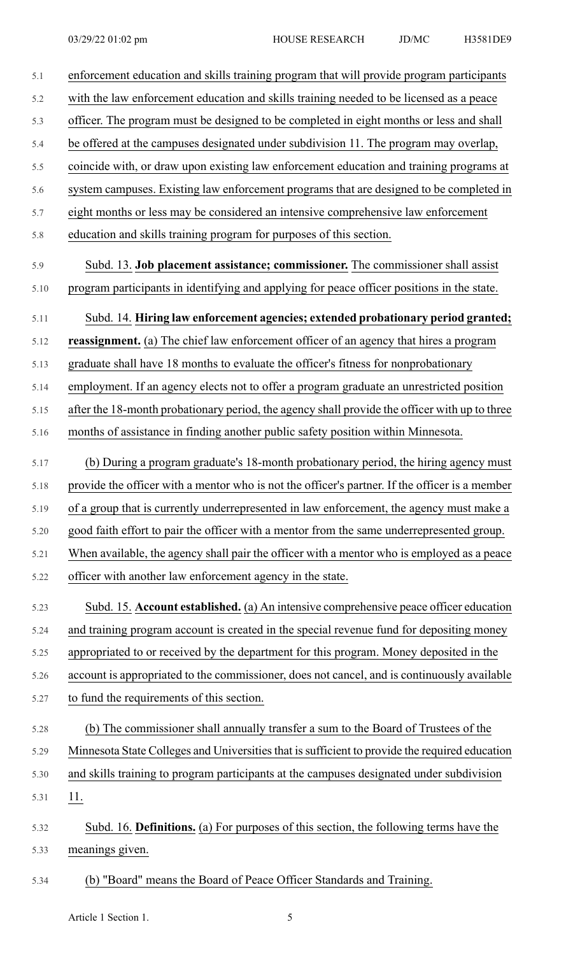| 5.1  | enforcement education and skills training program that will provide program participants       |
|------|------------------------------------------------------------------------------------------------|
| 5.2  | with the law enforcement education and skills training needed to be licensed as a peace        |
| 5.3  | officer. The program must be designed to be completed in eight months or less and shall        |
| 5.4  | be offered at the campuses designated under subdivision 11. The program may overlap,           |
| 5.5  | coincide with, or draw upon existing law enforcement education and training programs at        |
| 5.6  | system campuses. Existing law enforcement programs that are designed to be completed in        |
| 5.7  | eight months or less may be considered an intensive comprehensive law enforcement              |
| 5.8  | education and skills training program for purposes of this section.                            |
| 5.9  | Subd. 13. Job placement assistance; commissioner. The commissioner shall assist                |
| 5.10 | program participants in identifying and applying for peace officer positions in the state.     |
| 5.11 | Subd. 14. Hiring law enforcement agencies; extended probationary period granted;               |
| 5.12 | <b>reassignment.</b> (a) The chief law enforcement officer of an agency that hires a program   |
| 5.13 | graduate shall have 18 months to evaluate the officer's fitness for nonprobationary            |
| 5.14 | employment. If an agency elects not to offer a program graduate an unrestricted position       |
| 5.15 | after the 18-month probationary period, the agency shall provide the officer with up to three  |
| 5.16 | months of assistance in finding another public safety position within Minnesota.               |
| 5.17 | (b) During a program graduate's 18-month probationary period, the hiring agency must           |
| 5.18 | provide the officer with a mentor who is not the officer's partner. If the officer is a member |
| 5.19 | of a group that is currently underrepresented in law enforcement, the agency must make a       |
| 5.20 | good faith effort to pair the officer with a mentor from the same underrepresented group.      |
| 5.21 | When available, the agency shall pair the officer with a mentor who is employed as a peace     |
| 5.22 | officer with another law enforcement agency in the state.                                      |
| 5.23 | Subd. 15. Account established. (a) An intensive comprehensive peace officer education          |
| 5.24 | and training program account is created in the special revenue fund for depositing money       |
| 5.25 | appropriated to or received by the department for this program. Money deposited in the         |
| 5.26 | account is appropriated to the commissioner, does not cancel, and is continuously available    |
| 5.27 | to fund the requirements of this section.                                                      |
| 5.28 | (b) The commissioner shall annually transfer a sum to the Board of Trustees of the             |
| 5.29 | Minnesota State Colleges and Universities that is sufficient to provide the required education |
| 5.30 | and skills training to program participants at the campuses designated under subdivision       |
| 5.31 | 11.                                                                                            |
| 5.32 | Subd. 16. Definitions. (a) For purposes of this section, the following terms have the          |
| 5.33 | meanings given.                                                                                |
| 5.34 | (b) "Board" means the Board of Peace Officer Standards and Training.                           |

Article 1 Section 1. 5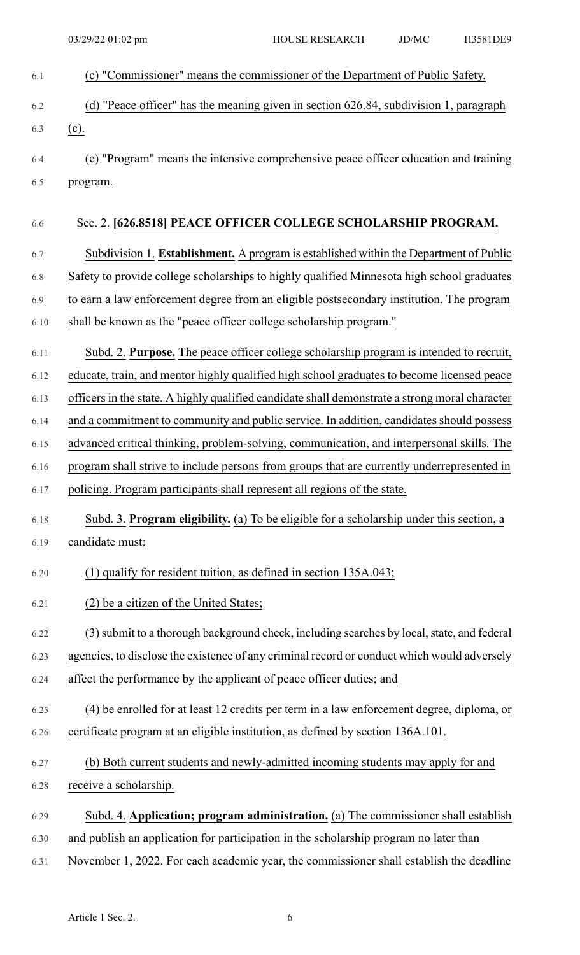| 6.1  | (c) "Commissioner" means the commissioner of the Department of Public Safety.                  |
|------|------------------------------------------------------------------------------------------------|
| 6.2  | (d) "Peace officer" has the meaning given in section 626.84, subdivision 1, paragraph          |
| 6.3  | $(c)$ .                                                                                        |
| 6.4  | (e) "Program" means the intensive comprehensive peace officer education and training           |
| 6.5  | program.                                                                                       |
|      |                                                                                                |
| 6.6  | Sec. 2. [626.8518] PEACE OFFICER COLLEGE SCHOLARSHIP PROGRAM.                                  |
| 6.7  | Subdivision 1. Establishment. A program is established within the Department of Public         |
| 6.8  | Safety to provide college scholarships to highly qualified Minnesota high school graduates     |
| 6.9  | to earn a law enforcement degree from an eligible postsecondary institution. The program       |
| 6.10 | shall be known as the "peace officer college scholarship program."                             |
| 6.11 | Subd. 2. Purpose. The peace officer college scholarship program is intended to recruit,        |
| 6.12 | educate, train, and mentor highly qualified high school graduates to become licensed peace     |
| 6.13 | officers in the state. A highly qualified candidate shall demonstrate a strong moral character |
| 6.14 | and a commitment to community and public service. In addition, candidates should possess       |
| 6.15 | advanced critical thinking, problem-solving, communication, and interpersonal skills. The      |
| 6.16 | program shall strive to include persons from groups that are currently underrepresented in     |
| 6.17 | policing. Program participants shall represent all regions of the state.                       |
| 6.18 | Subd. 3. Program eligibility. (a) To be eligible for a scholarship under this section, a       |
| 6.19 | candidate must:                                                                                |
| 6.20 | (1) qualify for resident tuition, as defined in section 135A.043;                              |
|      |                                                                                                |
| 6.21 | (2) be a citizen of the United States;                                                         |
| 6.22 | (3) submit to a thorough background check, including searches by local, state, and federal     |
| 6.23 | agencies, to disclose the existence of any criminal record or conduct which would adversely    |
| 6.24 | affect the performance by the applicant of peace officer duties; and                           |
| 6.25 | (4) be enrolled for at least 12 credits per term in a law enforcement degree, diploma, or      |
| 6.26 | certificate program at an eligible institution, as defined by section 136A.101.                |
| 6.27 | (b) Both current students and newly-admitted incoming students may apply for and               |
| 6.28 | receive a scholarship.                                                                         |
| 6.29 | Subd. 4. Application; program administration. (a) The commissioner shall establish             |
| 6.30 | and publish an application for participation in the scholarship program no later than          |
| 6.31 | November 1, 2022. For each academic year, the commissioner shall establish the deadline        |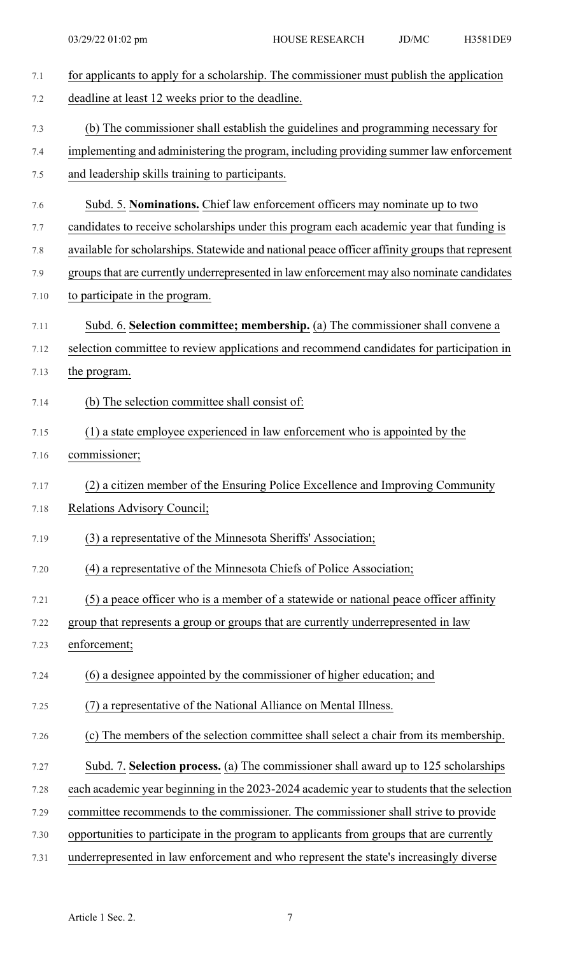| 7.1  | for applicants to apply for a scholarship. The commissioner must publish the application        |
|------|-------------------------------------------------------------------------------------------------|
| 7.2  | deadline at least 12 weeks prior to the deadline.                                               |
| 7.3  | (b) The commissioner shall establish the guidelines and programming necessary for               |
| 7.4  | implementing and administering the program, including providing summer law enforcement          |
| 7.5  | and leadership skills training to participants.                                                 |
| 7.6  | Subd. 5. Nominations. Chief law enforcement officers may nominate up to two                     |
| 7.7  | candidates to receive scholarships under this program each academic year that funding is        |
| 7.8  | available for scholarships. Statewide and national peace officer affinity groups that represent |
| 7.9  | groups that are currently underrepresented in law enforcement may also nominate candidates      |
| 7.10 | to participate in the program.                                                                  |
| 7.11 | Subd. 6. Selection committee; membership. (a) The commissioner shall convene a                  |
| 7.12 | selection committee to review applications and recommend candidates for participation in        |
| 7.13 | the program.                                                                                    |
| 7.14 | (b) The selection committee shall consist of:                                                   |
| 7.15 | (1) a state employee experienced in law enforcement who is appointed by the                     |
| 7.16 | commissioner;                                                                                   |
| 7.17 | (2) a citizen member of the Ensuring Police Excellence and Improving Community                  |
| 7.18 | Relations Advisory Council;                                                                     |
| 7.19 | (3) a representative of the Minnesota Sheriffs' Association;                                    |
| 7.20 | (4) a representative of the Minnesota Chiefs of Police Association;                             |
| 7.21 | (5) a peace officer who is a member of a statewide or national peace officer affinity           |
| 7.22 | group that represents a group or groups that are currently underrepresented in law              |
| 7.23 | enforcement;                                                                                    |
| 7.24 | (6) a designee appointed by the commissioner of higher education; and                           |
| 7.25 | a representative of the National Alliance on Mental Illness.                                    |
| 7.26 | (c) The members of the selection committee shall select a chair from its membership.            |
| 7.27 | Subd. 7. Selection process. (a) The commissioner shall award up to 125 scholarships             |
| 7.28 | each academic year beginning in the 2023-2024 academic year to students that the selection      |
| 7.29 | committee recommends to the commissioner. The commissioner shall strive to provide              |
| 7.30 | opportunities to participate in the program to applicants from groups that are currently        |
| 7.31 | underrepresented in law enforcement and who represent the state's increasingly diverse          |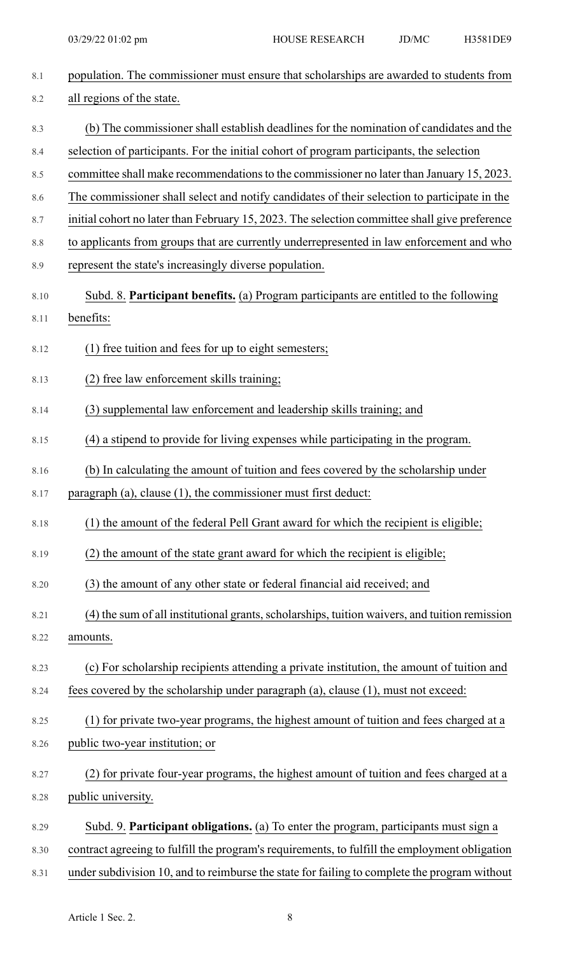| 8.1  | population. The commissioner must ensure that scholarships are awarded to students from       |
|------|-----------------------------------------------------------------------------------------------|
| 8.2  | all regions of the state.                                                                     |
| 8.3  | (b) The commissioner shall establish deadlines for the nomination of candidates and the       |
| 8.4  | selection of participants. For the initial cohort of program participants, the selection      |
| 8.5  | committee shall make recommendations to the commissioner no later than January 15, 2023.      |
| 8.6  | The commissioner shall select and notify candidates of their selection to participate in the  |
| 8.7  | initial cohort no later than February 15, 2023. The selection committee shall give preference |
| 8.8  | to applicants from groups that are currently underrepresented in law enforcement and who      |
| 8.9  | represent the state's increasingly diverse population.                                        |
| 8.10 | Subd. 8. Participant benefits. (a) Program participants are entitled to the following         |
| 8.11 | benefits:                                                                                     |
| 8.12 | (1) free tuition and fees for up to eight semesters;                                          |
| 8.13 | (2) free law enforcement skills training;                                                     |
| 8.14 | (3) supplemental law enforcement and leadership skills training; and                          |
| 8.15 | (4) a stipend to provide for living expenses while participating in the program.              |
| 8.16 | (b) In calculating the amount of tuition and fees covered by the scholarship under            |
| 8.17 | paragraph (a), clause (1), the commissioner must first deduct:                                |
| 8.18 | (1) the amount of the federal Pell Grant award for which the recipient is eligible;           |
| 8.19 | (2) the amount of the state grant award for which the recipient is eligible;                  |
| 8.20 | (3) the amount of any other state or federal financial aid received; and                      |
| 8.21 | (4) the sum of all institutional grants, scholarships, tuition waivers, and tuition remission |
| 8.22 | amounts.                                                                                      |
| 8.23 | (c) For scholarship recipients attending a private institution, the amount of tuition and     |
| 8.24 | fees covered by the scholarship under paragraph (a), clause (1), must not exceed:             |
| 8.25 | (1) for private two-year programs, the highest amount of tuition and fees charged at a        |
| 8.26 | public two-year institution; or                                                               |
| 8.27 | (2) for private four-year programs, the highest amount of tuition and fees charged at a       |
| 8.28 | public university.                                                                            |
| 8.29 | Subd. 9. Participant obligations. (a) To enter the program, participants must sign a          |
| 8.30 | contract agreeing to fulfill the program's requirements, to fulfill the employment obligation |
| 8.31 | under subdivision 10, and to reimburse the state for failing to complete the program without  |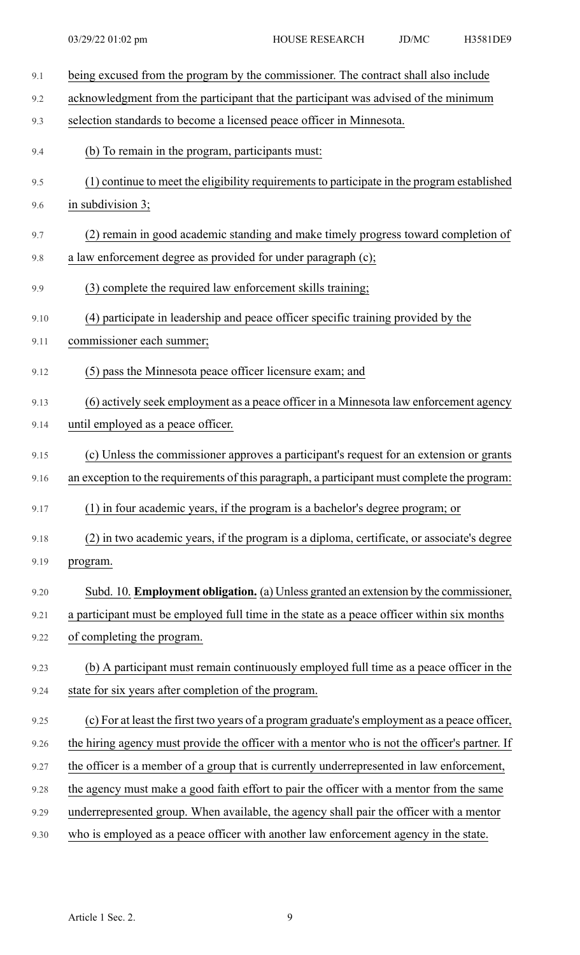| 9.1  | being excused from the program by the commissioner. The contract shall also include           |
|------|-----------------------------------------------------------------------------------------------|
| 9.2  | acknowledgment from the participant that the participant was advised of the minimum           |
| 9.3  | selection standards to become a licensed peace officer in Minnesota.                          |
| 9.4  | (b) To remain in the program, participants must:                                              |
| 9.5  | (1) continue to meet the eligibility requirements to participate in the program established   |
| 9.6  | in subdivision 3;                                                                             |
| 9.7  | (2) remain in good academic standing and make timely progress toward completion of            |
| 9.8  | a law enforcement degree as provided for under paragraph (c);                                 |
| 9.9  | (3) complete the required law enforcement skills training;                                    |
| 9.10 | (4) participate in leadership and peace officer specific training provided by the             |
| 9.11 | commissioner each summer;                                                                     |
| 9.12 | (5) pass the Minnesota peace officer licensure exam; and                                      |
| 9.13 | (6) actively seek employment as a peace officer in a Minnesota law enforcement agency         |
| 9.14 | until employed as a peace officer.                                                            |
| 9.15 | (c) Unless the commissioner approves a participant's request for an extension or grants       |
| 9.16 | an exception to the requirements of this paragraph, a participant must complete the program:  |
| 9.17 | (1) in four academic years, if the program is a bachelor's degree program; or                 |
| 9.18 | (2) in two academic years, if the program is a diploma, certificate, or associate's degree    |
| 9.19 | program.                                                                                      |
| 9.20 | Subd. 10. <b>Employment obligation.</b> (a) Unless granted an extension by the commissioner,  |
| 9.21 | a participant must be employed full time in the state as a peace officer within six months    |
| 9.22 | of completing the program.                                                                    |
| 9.23 | (b) A participant must remain continuously employed full time as a peace officer in the       |
| 9.24 | state for six years after completion of the program.                                          |
| 9.25 | (c) For at least the first two years of a program graduate's employment as a peace officer,   |
| 9.26 | the hiring agency must provide the officer with a mentor who is not the officer's partner. If |
| 9.27 | the officer is a member of a group that is currently underrepresented in law enforcement,     |
| 9.28 | the agency must make a good faith effort to pair the officer with a mentor from the same      |
| 9.29 | underrepresented group. When available, the agency shall pair the officer with a mentor       |
| 9.30 | who is employed as a peace officer with another law enforcement agency in the state.          |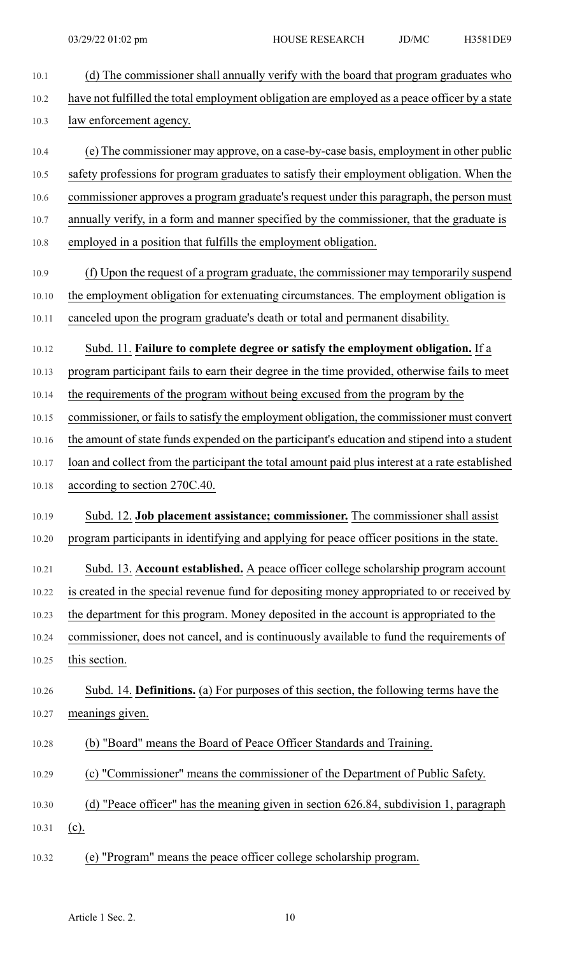10.1 (d) The commissioner shall annually verify with the board that program graduates who 10.2 have not fulfilled the total employment obligation are employed as a peace officer by a state 10.3 law enforcement agency. 10.4 (e) The commissioner may approve, on a case-by-case basis, employment in other public 10.5 safety professions for program graduates to satisfy their employment obligation. When the 10.6 commissioner approves a program graduate's request under this paragraph, the person must 10.7 annually verify, in a form and manner specified by the commissioner, that the graduate is 10.8 employed in a position that fulfills the employment obligation. 10.9 (f) Upon the request of a program graduate, the commissioner may temporarily suspend 10.10 the employment obligation for extenuating circumstances. The employment obligation is 10.11 canceled upon the program graduate's death or total and permanent disability. 10.12 Subd. 11. **Failure to complete degree or satisfy the employment obligation.** If a 10.13 program participant fails to earn their degree in the time provided, otherwise fails to meet 10.14 the requirements of the program without being excused from the program by the 10.15 commissioner, or fails to satisfy the employment obligation, the commissioner must convert 10.16 the amount of state funds expended on the participant's education and stipend into a student 10.17 loan and collect from the participant the total amount paid plus interest at a rate established 10.18 according to section 270C.40. 10.19 Subd. 12. **Job placement assistance; commissioner.** The commissioner shall assist 10.20 program participants in identifying and applying for peace officer positions in the state. 10.21 Subd. 13. **Account established.** A peace officer college scholarship program account 10.22 is created in the special revenue fund for depositing money appropriated to or received by 10.23 the department for this program. Money deposited in the account is appropriated to the 10.24 commissioner, does not cancel, and is continuously available to fund the requirements of 10.25 this section. 10.26 Subd. 14. **Definitions.** (a) For purposes of this section, the following terms have the 10.27 meanings given. 10.28 (b) "Board" means the Board of Peace Officer Standards and Training. 10.29 (c) "Commissioner" means the commissioner of the Department of Public Safety. 10.30 (d) "Peace officer" has the meaning given in section 626.84, subdivision 1, paragraph  $10.31$  (c). 10.32 (e) "Program" means the peace officer college scholarship program.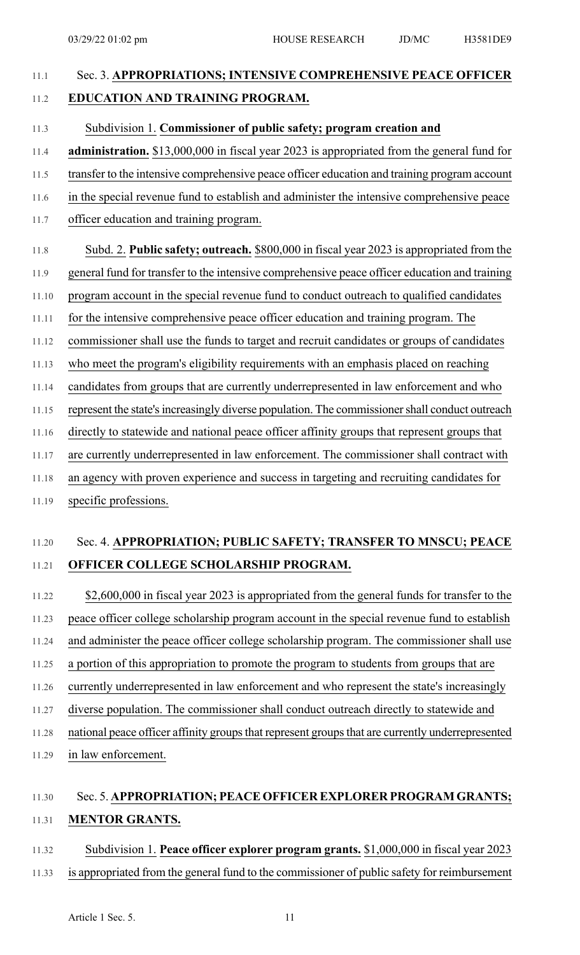# 11.1 Sec. 3. **APPROPRIATIONS; INTENSIVE COMPREHENSIVE PEACE OFFICER**

#### 11.2 **EDUCATION AND TRAINING PROGRAM.**

#### 11.3 Subdivision 1. **Commissioner of public safety; program creation and**

- 11.4 **administration.** \$13,000,000 in fiscal year 2023 is appropriated from the general fund for
- 11.5 transfer to the intensive comprehensive peace officer education and training program account
- 11.6 in the special revenue fund to establish and administer the intensive comprehensive peace
- 11.7 officer education and training program.

# 11.8 Subd. 2. **Public safety; outreach.** \$800,000 in fiscal year 2023 is appropriated from the

- 11.9 general fund for transfer to the intensive comprehensive peace officer education and training
- 11.10 program account in the special revenue fund to conduct outreach to qualified candidates
- 11.11 for the intensive comprehensive peace officer education and training program. The
- 11.12 commissioner shall use the funds to target and recruit candidates or groups of candidates
- 11.13 who meet the program's eligibility requirements with an emphasis placed on reaching
- 11.14 candidates from groups that are currently underrepresented in law enforcement and who
- 11.15 represent the state's increasingly diverse population. The commissioner shall conduct outreach
- 11.16 directly to statewide and national peace officer affinity groups that represent groups that
- 11.17 are currently underrepresented in law enforcement. The commissioner shall contract with
- 11.18 an agency with proven experience and success in targeting and recruiting candidates for
- 11.19 specific professions.

### 11.20 Sec. 4. **APPROPRIATION; PUBLIC SAFETY; TRANSFER TO MNSCU; PEACE** 11.21 **OFFICER COLLEGE SCHOLARSHIP PROGRAM.**

## 11.22 \$2,600,000 in fiscal year 2023 is appropriated from the general funds for transfer to the 11.23 peace officer college scholarship program account in the special revenue fund to establish

- 11.24 and administer the peace officer college scholarship program. The commissioner shall use
- 11.25 a portion of this appropriation to promote the program to students from groups that are
- 11.26 currently underrepresented in law enforcement and who represent the state's increasingly
- 11.27 diverse population. The commissioner shall conduct outreach directly to statewide and
- 11.28 national peace officer affinity groups that represent groups that are currently underrepresented
- 11.29 in law enforcement.

#### 11.30 Sec. 5. **APPROPRIATION; PEACE OFFICER EXPLORER PROGRAM GRANTS;** 11.31 **MENTOR GRANTS.**

#### 11.32 Subdivision 1. **Peace officer explorer program grants.** \$1,000,000 in fiscal year 2023 11.33 is appropriated from the general fund to the commissioner of public safety for reimbursement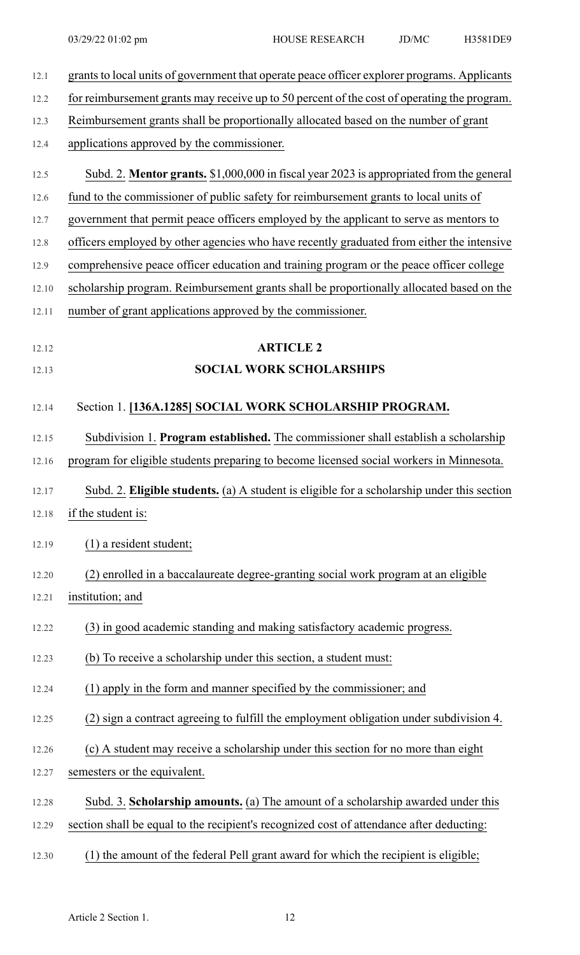| 12.1  | grants to local units of government that operate peace officer explorer programs. Applicants |
|-------|----------------------------------------------------------------------------------------------|
| 12.2  | for reimbursement grants may receive up to 50 percent of the cost of operating the program.  |
| 12.3  | Reimbursement grants shall be proportionally allocated based on the number of grant          |
| 12.4  | applications approved by the commissioner.                                                   |
| 12.5  | Subd. 2. Mentor grants. \$1,000,000 in fiscal year 2023 is appropriated from the general     |
| 12.6  | fund to the commissioner of public safety for reimbursement grants to local units of         |
| 12.7  | government that permit peace officers employed by the applicant to serve as mentors to       |
| 12.8  | officers employed by other agencies who have recently graduated from either the intensive    |
| 12.9  | comprehensive peace officer education and training program or the peace officer college      |
| 12.10 | scholarship program. Reimbursement grants shall be proportionally allocated based on the     |
| 12.11 | number of grant applications approved by the commissioner.                                   |
| 12.12 | <b>ARTICLE 2</b>                                                                             |
| 12.13 | <b>SOCIAL WORK SCHOLARSHIPS</b>                                                              |
|       |                                                                                              |
| 12.14 | Section 1. [136A.1285] SOCIAL WORK SCHOLARSHIP PROGRAM.                                      |
| 12.15 | Subdivision 1. Program established. The commissioner shall establish a scholarship           |
| 12.16 | program for eligible students preparing to become licensed social workers in Minnesota.      |
| 12.17 | Subd. 2. Eligible students. (a) A student is eligible for a scholarship under this section   |
| 12.18 | if the student is:                                                                           |
| 12.19 | $(1)$ a resident student;                                                                    |
| 12.20 | (2) enrolled in a baccalaureate degree-granting social work program at an eligible           |
| 12.21 | institution; and                                                                             |
| 12.22 | (3) in good academic standing and making satisfactory academic progress.                     |
| 12.23 | (b) To receive a scholarship under this section, a student must:                             |
| 12.24 | (1) apply in the form and manner specified by the commissioner; and                          |
| 12.25 | (2) sign a contract agreeing to fulfill the employment obligation under subdivision 4.       |
| 12.26 | (c) A student may receive a scholarship under this section for no more than eight            |
| 12.27 | semesters or the equivalent.                                                                 |
| 12.28 | Subd. 3. Scholarship amounts. (a) The amount of a scholarship awarded under this             |
| 12.29 | section shall be equal to the recipient's recognized cost of attendance after deducting:     |
| 12.30 | (1) the amount of the federal Pell grant award for which the recipient is eligible;          |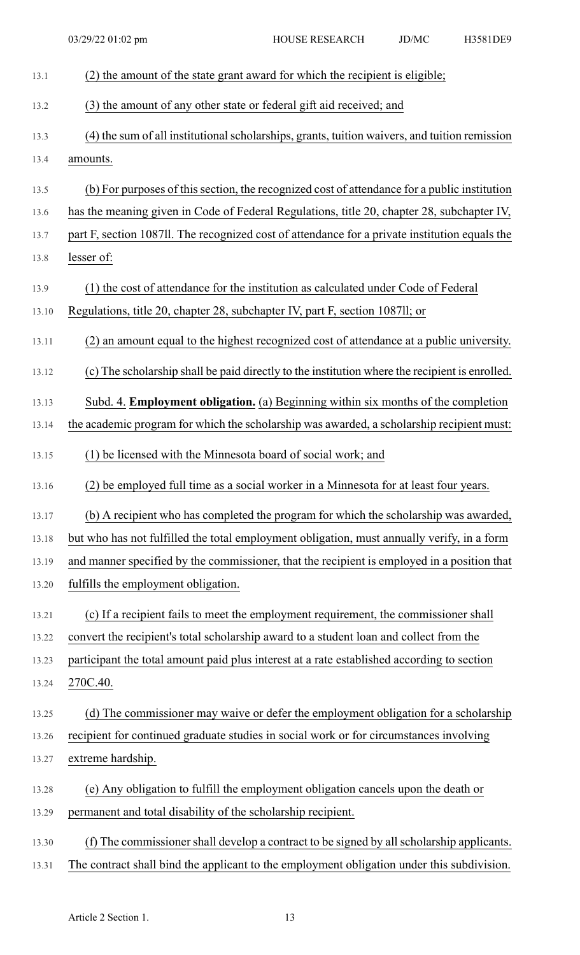| 13.1  | (2) the amount of the state grant award for which the recipient is eligible;                   |
|-------|------------------------------------------------------------------------------------------------|
| 13.2  | (3) the amount of any other state or federal gift aid received; and                            |
| 13.3  | (4) the sum of all institutional scholarships, grants, tuition waivers, and tuition remission  |
| 13.4  | amounts.                                                                                       |
| 13.5  | (b) For purposes of this section, the recognized cost of attendance for a public institution   |
| 13.6  | has the meaning given in Code of Federal Regulations, title 20, chapter 28, subchapter IV,     |
| 13.7  | part F, section 108711. The recognized cost of attendance for a private institution equals the |
| 13.8  | lesser of:                                                                                     |
| 13.9  | (1) the cost of attendance for the institution as calculated under Code of Federal             |
| 13.10 | Regulations, title 20, chapter 28, subchapter IV, part F, section 1087ll; or                   |
| 13.11 | (2) an amount equal to the highest recognized cost of attendance at a public university.       |
| 13.12 | (c) The scholarship shall be paid directly to the institution where the recipient is enrolled. |
| 13.13 | Subd. 4. Employment obligation. (a) Beginning within six months of the completion              |
| 13.14 | the academic program for which the scholarship was awarded, a scholarship recipient must:      |
| 13.15 | (1) be licensed with the Minnesota board of social work; and                                   |
| 13.16 | (2) be employed full time as a social worker in a Minnesota for at least four years.           |
| 13.17 | (b) A recipient who has completed the program for which the scholarship was awarded,           |
| 13.18 | but who has not fulfilled the total employment obligation, must annually verify, in a form     |
| 13.19 | and manner specified by the commissioner, that the recipient is employed in a position that    |
| 13.20 | fulfills the employment obligation.                                                            |
| 13.21 | (c) If a recipient fails to meet the employment requirement, the commissioner shall            |
| 13.22 | convert the recipient's total scholarship award to a student loan and collect from the         |
| 13.23 | participant the total amount paid plus interest at a rate established according to section     |
| 13.24 | 270C.40.                                                                                       |
| 13.25 | (d) The commissioner may waive or defer the employment obligation for a scholarship            |
| 13.26 | recipient for continued graduate studies in social work or for circumstances involving         |
| 13.27 | extreme hardship.                                                                              |
| 13.28 | (e) Any obligation to fulfill the employment obligation cancels upon the death or              |
| 13.29 | permanent and total disability of the scholarship recipient.                                   |
| 13.30 | The commissioner shall develop a contract to be signed by all scholarship applicants.<br>(f)   |
| 13.31 | The contract shall bind the applicant to the employment obligation under this subdivision.     |